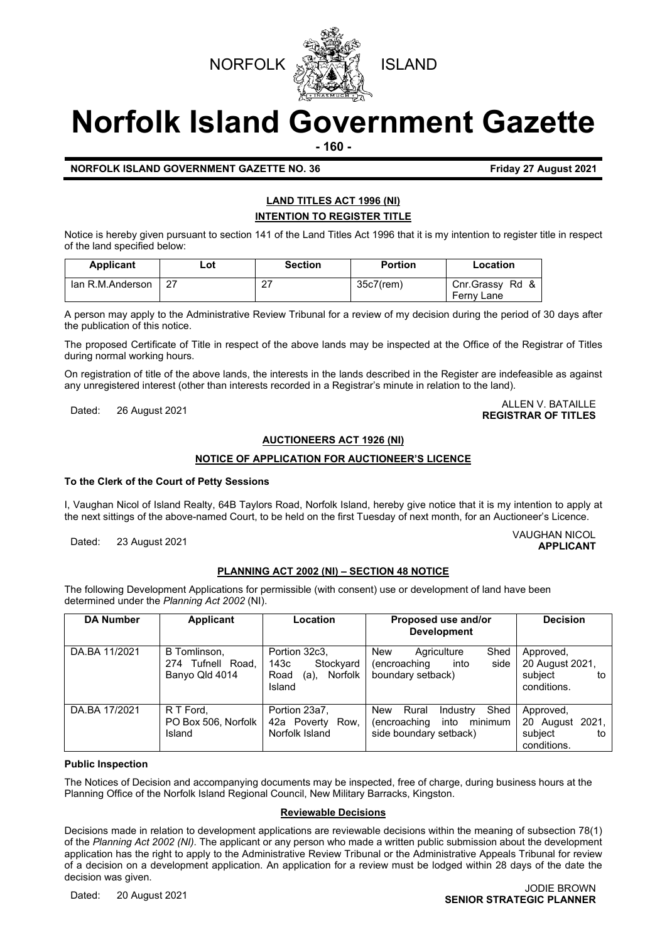



# **Norfolk Island Government Gazette**

**- 160 -**

#### **NORFOLK ISLAND GOVERNMENT GAZETTE NO. 36 Friday 27 August 2021**

### **LAND TITLES ACT 1996 (NI) INTENTION TO REGISTER TITLE**

Notice is hereby given pursuant to section 141 of the Land Titles Act 1996 that it is my intention to register title in respect of the land specified below:

| <b>Applicant</b> | Lot | <b>Section</b> | <b>Portion</b> | Location                      |
|------------------|-----|----------------|----------------|-------------------------------|
| Ian R.M.Anderson | 27  | <u>_ I</u>     | $35c7$ (rem)   | Cnr.Grassy Rd &<br>Ferny Lane |

A person may apply to the Administrative Review Tribunal for a review of my decision during the period of 30 days after the publication of this notice.

The proposed Certificate of Title in respect of the above lands may be inspected at the Office of the Registrar of Titles during normal working hours.

On registration of title of the above lands, the interests in the lands described in the Register are indefeasible as against any unregistered interest (other than interests recorded in a Registrar's minute in relation to the land).

## Dated: 26 August 2021 ALLEN V. BATAILLE **REGISTRAR OF TITLES**

#### **AUCTIONEERS ACT 1926 (NI)**

#### **NOTICE OF APPLICATION FOR AUCTIONEER'S LICENCE**

#### **To the Clerk of the Court of Petty Sessions**

I, Vaughan Nicol of Island Realty, 64B Taylors Road, Norfolk Island, hereby give notice that it is my intention to apply at the next sittings of the above-named Court, to be held on the first Tuesday of next month, for an Auctioneer's Licence.

Dated: 23 August 2021 VAUGHAN NICOL

#### **PLANNING ACT 2002 (NI) – SECTION 48 NOTICE**

The following Development Applications for permissible (with consent) use or development of land have been determined under the *Planning Act 2002* (NI).

| <b>DA Number</b> | <b>Applicant</b>                                    | Location                                                                | Proposed use and/or<br><b>Development</b>                                                     | <b>Decision</b>                                              |
|------------------|-----------------------------------------------------|-------------------------------------------------------------------------|-----------------------------------------------------------------------------------------------|--------------------------------------------------------------|
| DA.BA 11/2021    | B Tomlinson,<br>274 Tufnell Road,<br>Banyo Qld 4014 | Portion 32c3,<br>143с<br>Stockyard<br>Road<br>Norfolk<br>(a),<br>Island | New<br>Shed<br>Agriculture<br>into<br>side<br>(encroaching<br>boundary setback)               | Approved,<br>20 August 2021,<br>subiect<br>to<br>conditions. |
| DA.BA 17/2021    | R T Ford.<br>PO Box 506, Norfolk<br>Island          | Portion 23a7,<br>42a Poverty Row,<br>Norfolk Island                     | Shed<br>New<br>Rural<br>Industry<br>into<br>(encroaching<br>minimum<br>side boundary setback) | Approved,<br>20 August 2021,<br>subiect<br>to<br>conditions. |

#### **Public Inspection**

The Notices of Decision and accompanying documents may be inspected, free of charge, during business hours at the Planning Office of the Norfolk Island Regional Council, New Military Barracks, Kingston.

#### **Reviewable Decisions**

Decisions made in relation to development applications are reviewable decisions within the meaning of subsection 78(1) of the *Planning Act 2002 (NI).* The applicant or any person who made a written public submission about the development application has the right to apply to the Administrative Review Tribunal or the Administrative Appeals Tribunal for review of a decision on a development application. An application for a review must be lodged within 28 days of the date the decision was given.

**APPLICANT**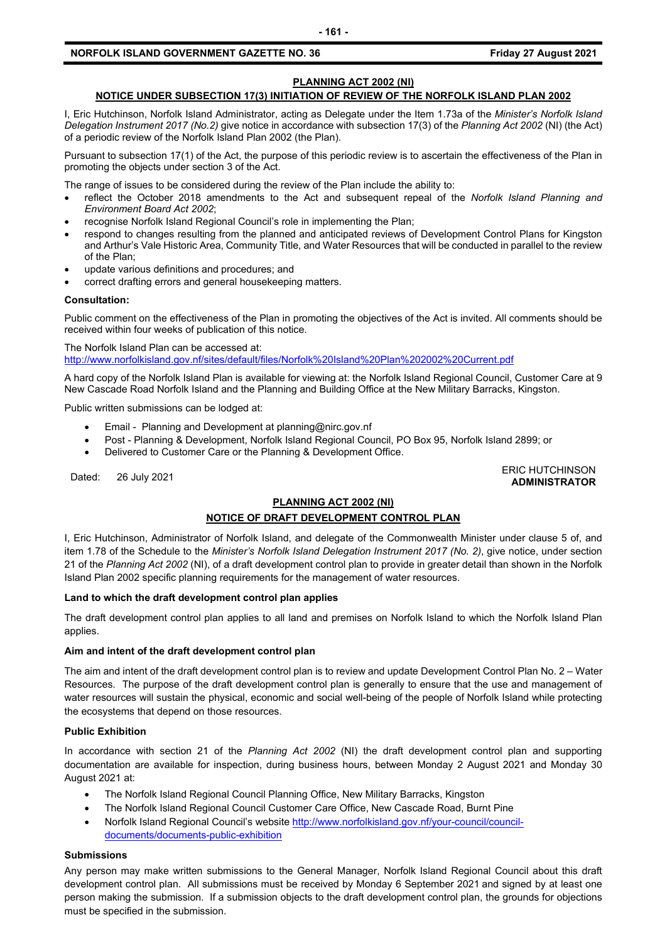#### **NORFOLK ISLAND GOVERNMENT GAZETTE NO. 36 Friday 27 August 2021**

#### **PLANNING ACT 2002 (NI)**

#### **NOTICE UNDER SUBSECTION 17(3) INITIATION OF REVIEW OF THE NORFOLK ISLAND PLAN 2002**

I, Eric Hutchinson, Norfolk Island Administrator, acting as Delegate under the Item 1.73a of the *Minister's Norfolk Island Delegation Instrument 2017 (No.2)* give notice in accordance with subsection 17(3) of the *Planning Act 2002* (NI) (the Act) of a periodic review of the Norfolk Island Plan 2002 (the Plan).

Pursuant to subsection 17(1) of the Act, the purpose of this periodic review is to ascertain the effectiveness of the Plan in promoting the objects under section 3 of the Act.

The range of issues to be considered during the review of the Plan include the ability to:

- reflect the October 2018 amendments to the Act and subsequent repeal of the *Norfolk Island Planning and Environment Board Act 2002*;
- recognise Norfolk Island Regional Council's role in implementing the Plan;
- respond to changes resulting from the planned and anticipated reviews of Development Control Plans for Kingston and Arthur's Vale Historic Area, Community Title, and Water Resources that will be conducted in parallel to the review of the Plan;
- update various definitions and procedures; and
- correct drafting errors and general housekeeping matters.

#### **Consultation:**

Public comment on the effectiveness of the Plan in promoting the objectives of the Act is invited. All comments should be received within four weeks of publication of this notice.

The Norfolk Island Plan can be accessed at:

<http://www.norfolkisland.gov.nf/sites/default/files/Norfolk%20Island%20Plan%202002%20Current.pdf>

A hard copy of the Norfolk Island Plan is available for viewing at: the Norfolk Island Regional Council, Customer Care at 9 New Cascade Road Norfolk Island and the Planning and Building Office at the New Military Barracks, Kingston.

Public written submissions can be lodged at:

- Email Planning and Development at [planning@nirc.gov.nf](mailto:planning@nirc.gov.nf)
- Post Planning & Development, Norfolk Island Regional Council, PO Box 95, Norfolk Island 2899; or
- Delivered to Customer Care or the Planning & Development Office.

Dated: 26 July 2021<br>Dated: 26 July 2021 **ADMINISTRATOR**

#### **PLANNING ACT 2002 (NI)**

#### **NOTICE OF DRAFT DEVELOPMENT CONTROL PLAN**

I, Eric Hutchinson, Administrator of Norfolk Island, and delegate of the Commonwealth Minister under clause 5 of, and item 1.78 of the Schedule to the *Minister's Norfolk Island Delegation Instrument 2017 (No. 2)*, give notice, under section 21 of the *Planning Act 2002* (NI), of a draft development control plan to provide in greater detail than shown in the Norfolk Island Plan 2002 specific planning requirements for the management of water resources.

#### **Land to which the draft development control plan applies**

The draft development control plan applies to all land and premises on Norfolk Island to which the Norfolk Island Plan applies.

#### **Aim and intent of the draft development control plan**

The aim and intent of the draft development control plan is to review and update Development Control Plan No. 2 – Water Resources. The purpose of the draft development control plan is generally to ensure that the use and management of water resources will sustain the physical, economic and social well-being of the people of Norfolk Island while protecting the ecosystems that depend on those resources.

#### **Public Exhibition**

In accordance with section 21 of the *Planning Act 2002* (NI) the draft development control plan and supporting documentation are available for inspection, during business hours, between Monday 2 August 2021 and Monday 30 August 2021 at:

- The Norfolk Island Regional Council Planning Office, New Military Barracks, Kingston
- The Norfolk Island Regional Council Customer Care Office, New Cascade Road, Burnt Pine
- Norfolk Island Regional Council's website [http://www.norfolkisland.gov.nf/your-council/council](http://www.norfolkisland.gov.nf/your-council/council-documents/documents-public-exhibition)[documents/documents-public-exhibition](http://www.norfolkisland.gov.nf/your-council/council-documents/documents-public-exhibition)

#### **Submissions**

Any person may make written submissions to the General Manager, Norfolk Island Regional Council about this draft development control plan. All submissions must be received by Monday 6 September 2021 and signed by at least one person making the submission. If a submission objects to the draft development control plan, the grounds for objections must be specified in the submission.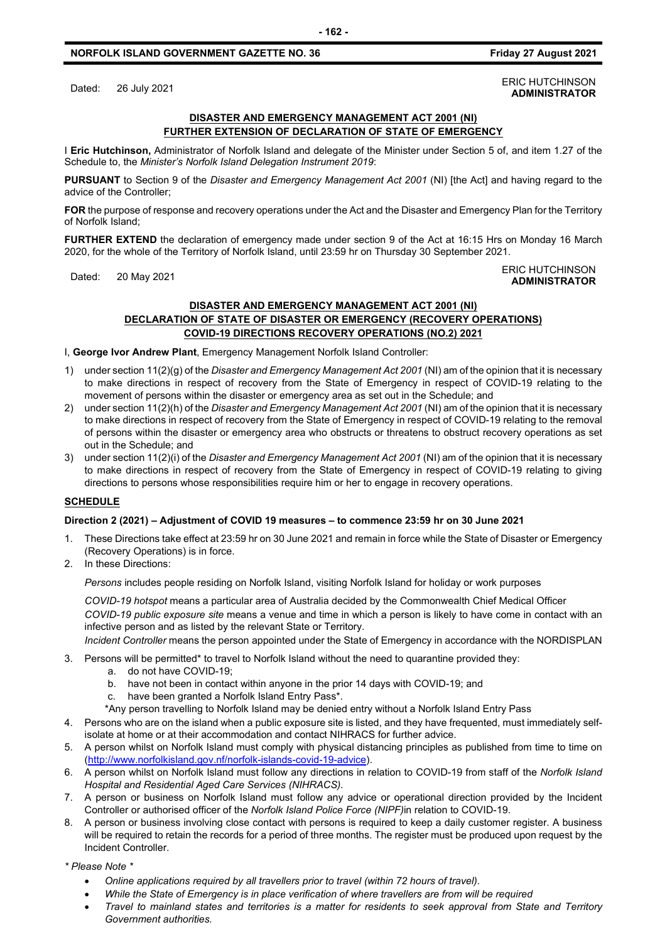#### **NORFOLK ISLAND GOVERNMENT GAZETTE NO. 36 Friday 27 August 2021**

#### **DISASTER AND EMERGENCY MANAGEMENT ACT 2001 (NI) FURTHER EXTENSION OF DECLARATION OF STATE OF EMERGENCY**

I **Eric Hutchinson,** Administrator of Norfolk Island and delegate of the Minister under Section 5 of, and item 1.27 of the Schedule to, the *Minister's Norfolk Island Delegation Instrument 2019*:

**PURSUANT** to Section 9 of the *Disaster and Emergency Management Act 2001* (NI) [the Act] and having regard to the advice of the Controller;

**FOR** the purpose of response and recovery operations under the Act and the Disaster and Emergency Plan for the Territory of Norfolk Island;

**FURTHER EXTEND** the declaration of emergency made under section 9 of the Act at 16:15 Hrs on Monday 16 March 2020, for the whole of the Territory of Norfolk Island, until 23:59 hr on Thursday 30 September 2021.

#### Dated: 20 May 2021<br>Dated: 20 May 2021 **ADMINISTRATOR**

#### **DISASTER AND EMERGENCY MANAGEMENT ACT 2001 (NI) DECLARATION OF STATE OF DISASTER OR EMERGENCY (RECOVERY OPERATIONS) COVID-19 DIRECTIONS RECOVERY OPERATIONS (NO.2) 2021**

I, **George Ivor Andrew Plant**, Emergency Management Norfolk Island Controller:

- 1) under section 11(2)(g) of the *Disaster and Emergency Management Act 2001* (NI) am of the opinion that it is necessary to make directions in respect of recovery from the State of Emergency in respect of COVID-19 relating to the movement of persons within the disaster or emergency area as set out in the Schedule; and
- 2) under section 11(2)(h) of the *Disaster and Emergency Management Act 2001* (NI) am of the opinion that it is necessary to make directions in respect of recovery from the State of Emergency in respect of COVID-19 relating to the removal of persons within the disaster or emergency area who obstructs or threatens to obstruct recovery operations as set out in the Schedule; and
- 3) under section 11(2)(i) of the *Disaster and Emergency Management Act 2001* (NI) am of the opinion that it is necessary to make directions in respect of recovery from the State of Emergency in respect of COVID-19 relating to giving directions to persons whose responsibilities require him or her to engage in recovery operations.

#### **SCHEDULE**

#### **Direction 2 (2021) – Adjustment of COVID 19 measures – to commence 23:59 hr on 30 June 2021**

- 1. These Directions take effect at 23:59 hr on 30 June 2021 and remain in force while the State of Disaster or Emergency (Recovery Operations) is in force.
- 2. In these Directions:

*Persons* includes people residing on Norfolk Island, visiting Norfolk Island for holiday or work purposes

*COVID-19 hotspot* means a particular area of Australia decided by the Commonwealth Chief Medical Officer *COVID-19 public exposure site* means a venue and time in which a person is likely to have come in contact with an infective person and as listed by the relevant State or Territory.

*Incident Controller* means the person appointed under the State of Emergency in accordance with the NORDISPLAN

- 3. Persons will be permitted\* to travel to Norfolk Island without the need to quarantine provided they:
	- a. do not have COVID-19;
	- b. have not been in contact within anyone in the prior 14 days with COVID-19; and
	- c. have been granted a Norfolk Island Entry Pass\*.
	- \*Any person travelling to Norfolk Island may be denied entry without a Norfolk Island Entry Pass
- 4. Persons who are on the island when a public exposure site is listed, and they have frequented, must immediately selfisolate at home or at their accommodation and contact NIHRACS for further advice.
- 5. A person whilst on Norfolk Island must comply with physical distancing principles as published from time to time on [\(http://www.norfolkisland.gov.nf/norfolk-islands-covid-19-advice\)](http://www.norfolkisland.gov.nf/norfolk-islands-covid-19-advice).
- 6. A person whilst on Norfolk Island must follow any directions in relation to COVID-19 from staff of the *Norfolk Island Hospital and Residential Aged Care Services (NIHRACS).*
- 7. A person or business on Norfolk Island must follow any advice or operational direction provided by the Incident Controller or authorised officer of the *Norfolk Island Police Force (NIPF)*in relation to COVID-19.
- 8. A person or business involving close contact with persons is required to keep a daily customer register. A business will be required to retain the records for a period of three months. The register must be produced upon request by the Incident Controller.

*\* Please Note \** 

- *Online applications required by all travellers prior to travel (within 72 hours of travel).*
- *While the State of Emergency is in place verification of where travellers are from will be required*
- *Travel to mainland states and territories is a matter for residents to seek approval from State and Territory Government authorities.*

Dated: 26 July 2021<br>Dated: 26 July 2021 **ADMINISTRATOR**